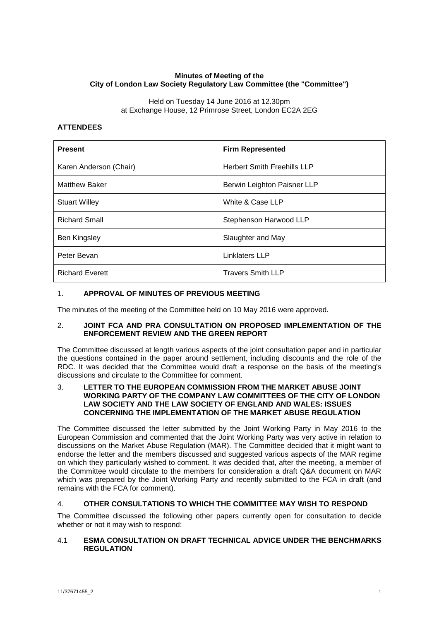## **Minutes of Meeting of the City of London Law Society Regulatory Law Committee (the "Committee")**

Held on Tuesday 14 June 2016 at 12.30pm at Exchange House, 12 Primrose Street, London EC2A 2EG

# **ATTENDEES**

| <b>Present</b>         | <b>Firm Represented</b>            |
|------------------------|------------------------------------|
| Karen Anderson (Chair) | <b>Herbert Smith Freehills LLP</b> |
| <b>Matthew Baker</b>   | Berwin Leighton Paisner LLP        |
| <b>Stuart Willey</b>   | White & Case LLP                   |
| <b>Richard Small</b>   | Stephenson Harwood LLP             |
| <b>Ben Kingsley</b>    | Slaughter and May                  |
| Peter Bevan            | Linklaters LLP                     |
| <b>Richard Everett</b> | <b>Travers Smith LLP</b>           |

## 1. **APPROVAL OF MINUTES OF PREVIOUS MEETING**

The minutes of the meeting of the Committee held on 10 May 2016 were approved.

### 2. **JOINT FCA AND PRA CONSULTATION ON PROPOSED IMPLEMENTATION OF THE ENFORCEMENT REVIEW AND THE GREEN REPORT**

The Committee discussed at length various aspects of the joint consultation paper and in particular the questions contained in the paper around settlement, including discounts and the role of the RDC. It was decided that the Committee would draft a response on the basis of the meeting's discussions and circulate to the Committee for comment.

### 3. **LETTER TO THE EUROPEAN COMMISSION FROM THE MARKET ABUSE JOINT WORKING PARTY OF THE COMPANY LAW COMMITTEES OF THE CITY OF LONDON LAW SOCIETY AND THE LAW SOCIETY OF ENGLAND AND WALES: ISSUES CONCERNING THE IMPLEMENTATION OF THE MARKET ABUSE REGULATION**

The Committee discussed the letter submitted by the Joint Working Party in May 2016 to the European Commission and commented that the Joint Working Party was very active in relation to discussions on the Market Abuse Regulation (MAR). The Committee decided that it might want to endorse the letter and the members discussed and suggested various aspects of the MAR regime on which they particularly wished to comment. It was decided that, after the meeting, a member of the Committee would circulate to the members for consideration a draft Q&A document on MAR which was prepared by the Joint Working Party and recently submitted to the FCA in draft (and remains with the FCA for comment).

## 4. **OTHER CONSULTATIONS TO WHICH THE COMMITTEE MAY WISH TO RESPOND**

The Committee discussed the following other papers currently open for consultation to decide whether or not it may wish to respond:

### 4.1 **ESMA CONSULTATION ON DRAFT TECHNICAL ADVICE UNDER THE BENCHMARKS REGULATION**